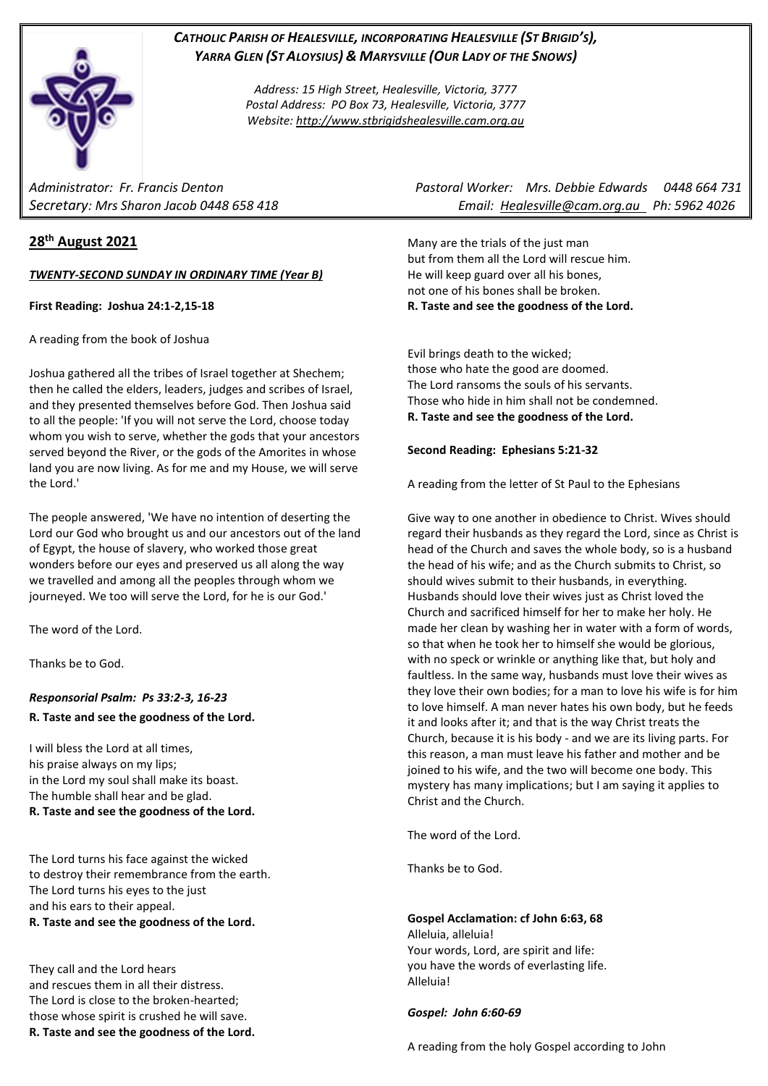

*Address: 15 High Street, Healesville, Victoria, 3777 Postal Address: PO Box 73, Healesville, Victoria, 3777 Website: [http://www.stbrigidshealesville.cam.org.au](http://www.stbrigidshealesville.cam.org.au/)*

## **28 th August 2021**

*TWENTY-SECOND SUNDAY IN ORDINARY TIME (Year B)*

**First Reading: Joshua 24:1-2,15-18**

A reading from the book of Joshua

Joshua gathered all the tribes of Israel together at Shechem; then he called the elders, leaders, judges and scribes of Israel, and they presented themselves before God. Then Joshua said to all the people: 'If you will not serve the Lord, choose today whom you wish to serve, whether the gods that your ancestors served beyond the River, or the gods of the Amorites in whose land you are now living. As for me and my House, we will serve the Lord.'

The people answered, 'We have no intention of deserting the Lord our God who brought us and our ancestors out of the land of Egypt, the house of slavery, who worked those great wonders before our eyes and preserved us all along the way we travelled and among all the peoples through whom we journeyed. We too will serve the Lord, for he is our God.'

The word of the Lord.

Thanks be to God.

#### *Responsorial Psalm: Ps 33:2-3, 16-23* **R. Taste and see the goodness of the Lord.**

I will bless the Lord at all times, his praise always on my lips; in the Lord my soul shall make its boast. The humble shall hear and be glad. **R. Taste and see the goodness of the Lord.**

The Lord turns his face against the wicked to destroy their remembrance from the earth. The Lord turns his eyes to the just and his ears to their appeal. **R. Taste and see the goodness of the Lord.**

They call and the Lord hears and rescues them in all their distress. The Lord is close to the broken-hearted; those whose spirit is crushed he will save. **R. Taste and see the goodness of the Lord.**

*Administrator: Fr. Francis Denton Pastoral Worker: Mrs. Debbie Edwards 0448 664 731 Secretary: Mrs Sharon Jacob 0448 658 418 Email: [Healesville@cam.org.au](mailto:Healesville@cam.org.au) Ph: 5962 4026* 

> Many are the trials of the just man but from them all the Lord will rescue him. He will keep guard over all his bones, not one of his bones shall be broken. **R. Taste and see the goodness of the Lord.**

Evil brings death to the wicked; those who hate the good are doomed. The Lord ransoms the souls of his servants. Those who hide in him shall not be condemned. **R. Taste and see the goodness of the Lord.**

**Second Reading: Ephesians 5:21-32**

A reading from the letter of St Paul to the Ephesians

Give way to one another in obedience to Christ. Wives should regard their husbands as they regard the Lord, since as Christ is head of the Church and saves the whole body, so is a husband the head of his wife; and as the Church submits to Christ, so should wives submit to their husbands, in everything. Husbands should love their wives just as Christ loved the Church and sacrificed himself for her to make her holy. He made her clean by washing her in water with a form of words, so that when he took her to himself she would be glorious, with no speck or wrinkle or anything like that, but holy and faultless. In the same way, husbands must love their wives as they love their own bodies; for a man to love his wife is for him to love himself. A man never hates his own body, but he feeds it and looks after it; and that is the way Christ treats the Church, because it is his body - and we are its living parts. For this reason, a man must leave his father and mother and be joined to his wife, and the two will become one body. This mystery has many implications; but I am saying it applies to Christ and the Church.

The word of the Lord.

Thanks be to God.

**Gospel Acclamation: cf John 6:63, 68** Alleluia, alleluia!

Your words, Lord, are spirit and life: you have the words of everlasting life. Alleluia!

*Gospel: John 6:60-69*

A reading from the holy Gospel according to John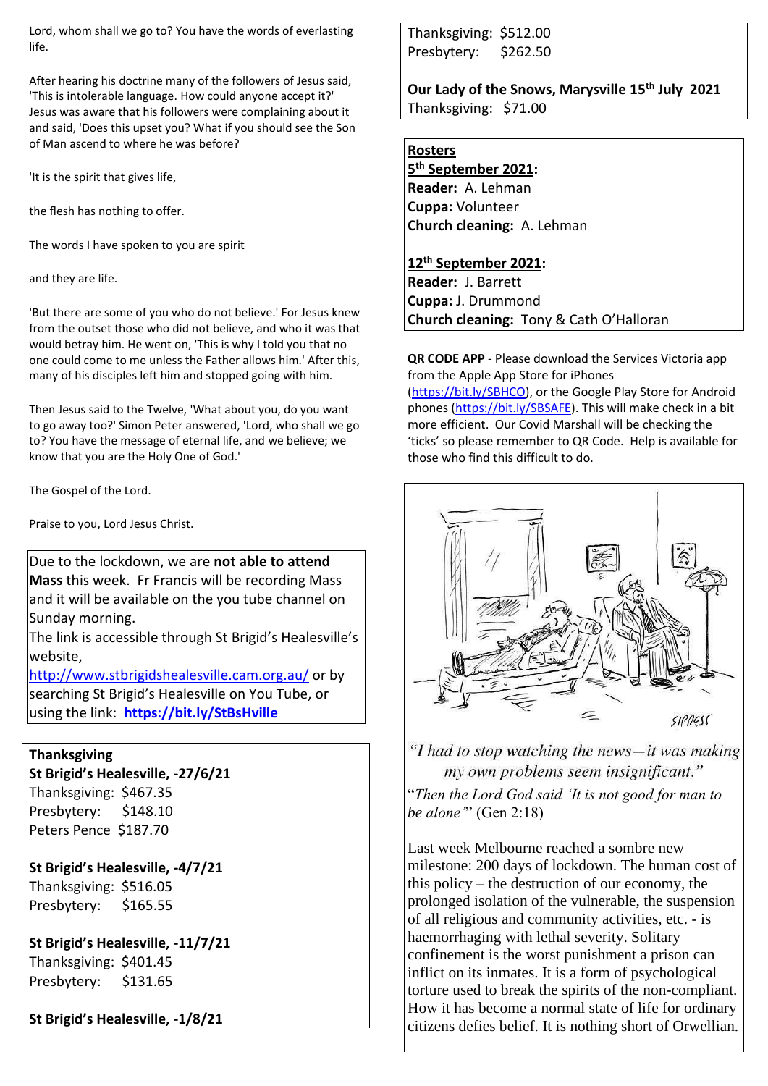Lord, whom shall we go to? You have the words of everlasting life.

After hearing his doctrine many of the followers of Jesus said, 'This is intolerable language. How could anyone accept it?' Jesus was aware that his followers were complaining about it and said, 'Does this upset you? What if you should see the Son of Man ascend to where he was before?

'It is the spirit that gives life,

the flesh has nothing to offer.

The words I have spoken to you are spirit

and they are life.

'But there are some of you who do not believe.' For Jesus knew from the outset those who did not believe, and who it was that would betray him. He went on, 'This is why I told you that no one could come to me unless the Father allows him.' After this, many of his disciples left him and stopped going with him.

Then Jesus said to the Twelve, 'What about you, do you want to go away too?' Simon Peter answered, 'Lord, who shall we go to? You have the message of eternal life, and we believe; we know that you are the Holy One of God.'

The Gospel of the Lord.

Praise to you, Lord Jesus Christ.

Due to the lockdown, we are **not able to attend Mass** this week. Fr Francis will be recording Mass and it will be available on the you tube channel on Sunday morning.

The link is accessible through St Brigid's Healesville's website,

<http://www.stbrigidshealesville.cam.org.au/> or by searching St Brigid's Healesville on You Tube, or using the link: **<https://bit.ly/StBsHville>**

#### **Thanksgiving**

**St Brigid's Healesville, -27/6/21** Thanksgiving: \$467.35 Presbytery: \$148.10 Peters Pence \$187.70

**St Brigid's Healesville, -4/7/21** Thanksgiving: \$516.05 Presbytery: \$165.55

**St Brigid's Healesville, -11/7/21** Thanksgiving: \$401.45 Presbytery: \$131.65

**St Brigid's Healesville, -1/8/21**

Thanksgiving: \$512.00 Presbytery: \$262.50

**Our Lady of the Snows, Marysville 15th July 2021**  Thanksgiving: \$71.00

### **Rosters**

**5 th September 2021: Reader:** A. Lehman **Cuppa:** Volunteer **Church cleaning:** A. Lehman

**12th September 2021: Reader:** J. Barrett **Cuppa:** J. Drummond **Church cleaning:** Tony & Cath O'Halloran

**QR CODE APP** - Please download the Services Victoria app from the Apple App Store for iPhones

[\(https://bit.ly/SBHCO\)](https://bit.ly/SBHCO), or the Google Play Store for Android phones [\(https://bit.ly/SBSAFE\)](https://bit.ly/SBSAFE). This will make check in a bit more efficient. Our Covid Marshall will be checking the 'ticks' so please remember to QR Code. Help is available for those who find this difficult to do.



"I had to stop watching the news-it was making my own problems seem insignificant."

"*Then the Lord God said 'It is not good for man to be alone'*" (Gen 2:18)

Last week Melbourne reached a sombre new milestone: 200 days of lockdown. The human cost of this policy – the destruction of our economy, the prolonged isolation of the vulnerable, the suspension of all religious and community activities, etc. - is haemorrhaging with lethal severity. Solitary confinement is the worst punishment a prison can inflict on its inmates. It is a form of psychological torture used to break the spirits of the non-compliant. How it has become a normal state of life for ordinary citizens defies belief. It is nothing short of Orwellian.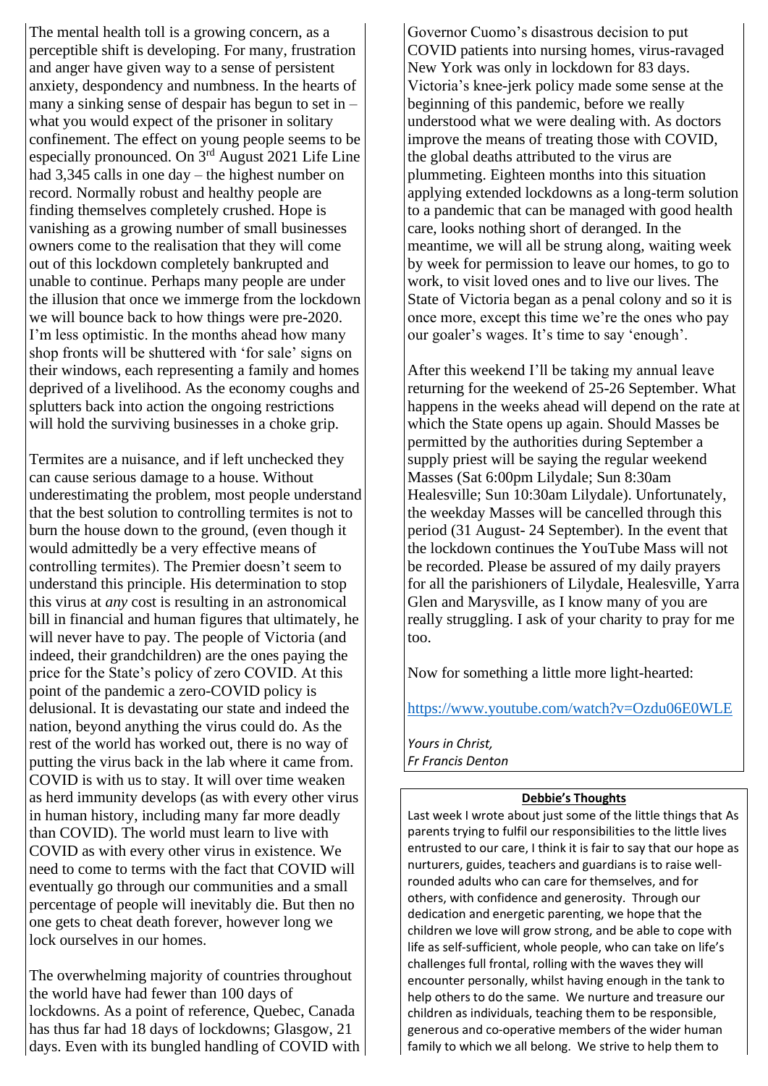The mental health toll is a growing concern, as a perceptible shift is developing. For many, frustration and anger have given way to a sense of persistent anxiety, despondency and numbness. In the hearts of many a sinking sense of despair has begun to set in – what you would expect of the prisoner in solitary confinement. The effect on young people seems to be especially pronounced. On 3rd August 2021 Life Line had 3,345 calls in one day – the highest number on record. Normally robust and healthy people are finding themselves completely crushed. Hope is vanishing as a growing number of small businesses owners come to the realisation that they will come out of this lockdown completely bankrupted and unable to continue. Perhaps many people are under the illusion that once we immerge from the lockdown we will bounce back to how things were pre-2020. I'm less optimistic. In the months ahead how many shop fronts will be shuttered with 'for sale' signs on their windows, each representing a family and homes deprived of a livelihood. As the economy coughs and splutters back into action the ongoing restrictions will hold the surviving businesses in a choke grip.

Termites are a nuisance, and if left unchecked they can cause serious damage to a house. Without underestimating the problem, most people understand that the best solution to controlling termites is not to burn the house down to the ground, (even though it would admittedly be a very effective means of controlling termites). The Premier doesn't seem to understand this principle. His determination to stop this virus at *any* cost is resulting in an astronomical bill in financial and human figures that ultimately, he will never have to pay. The people of Victoria (and indeed, their grandchildren) are the ones paying the price for the State's policy of zero COVID. At this point of the pandemic a zero-COVID policy is delusional. It is devastating our state and indeed the nation, beyond anything the virus could do. As the rest of the world has worked out, there is no way of putting the virus back in the lab where it came from. COVID is with us to stay. It will over time weaken as herd immunity develops (as with every other virus in human history, including many far more deadly than COVID). The world must learn to live with COVID as with every other virus in existence. We need to come to terms with the fact that COVID will eventually go through our communities and a small percentage of people will inevitably die. But then no one gets to cheat death forever, however long we lock ourselves in our homes.

The overwhelming majority of countries throughout the world have had fewer than 100 days of lockdowns. As a point of reference, Quebec, Canada has thus far had 18 days of lockdowns; Glasgow, 21 days. Even with its bungled handling of COVID with Governor Cuomo's disastrous decision to put COVID patients into nursing homes, virus-ravaged New York was only in lockdown for 83 days. Victoria's knee-jerk policy made some sense at the beginning of this pandemic, before we really understood what we were dealing with. As doctors improve the means of treating those with COVID, the global deaths attributed to the virus are plummeting. Eighteen months into this situation applying extended lockdowns as a long-term solution to a pandemic that can be managed with good health care, looks nothing short of deranged. In the meantime, we will all be strung along, waiting week by week for permission to leave our homes, to go to work, to visit loved ones and to live our lives. The State of Victoria began as a penal colony and so it is once more, except this time we're the ones who pay our goaler's wages. It's time to say 'enough'.

After this weekend I'll be taking my annual leave returning for the weekend of 25-26 September. What happens in the weeks ahead will depend on the rate at which the State opens up again. Should Masses be permitted by the authorities during September a supply priest will be saying the regular weekend Masses (Sat 6:00pm Lilydale; Sun 8:30am Healesville; Sun 10:30am Lilydale). Unfortunately, the weekday Masses will be cancelled through this period (31 August- 24 September). In the event that the lockdown continues the YouTube Mass will not be recorded. Please be assured of my daily prayers for all the parishioners of Lilydale, Healesville, Yarra Glen and Marysville, as I know many of you are really struggling. I ask of your charity to pray for me too.

Now for something a little more light-hearted:

<https://www.youtube.com/watch?v=Ozdu06E0WLE>

*Yours in Christ, Fr Francis Denton* 

#### **Debbie's Thoughts**

Last week I wrote about just some of the little things that As parents trying to fulfil our responsibilities to the little lives entrusted to our care, I think it is fair to say that our hope as nurturers, guides, teachers and guardians is to raise wellrounded adults who can care for themselves, and for others, with confidence and generosity. Through our dedication and energetic parenting, we hope that the children we love will grow strong, and be able to cope with life as self-sufficient, whole people, who can take on life's challenges full frontal, rolling with the waves they will encounter personally, whilst having enough in the tank to help others to do the same. We nurture and treasure our children as individuals, teaching them to be responsible, generous and co-operative members of the wider human family to which we all belong. We strive to help them to